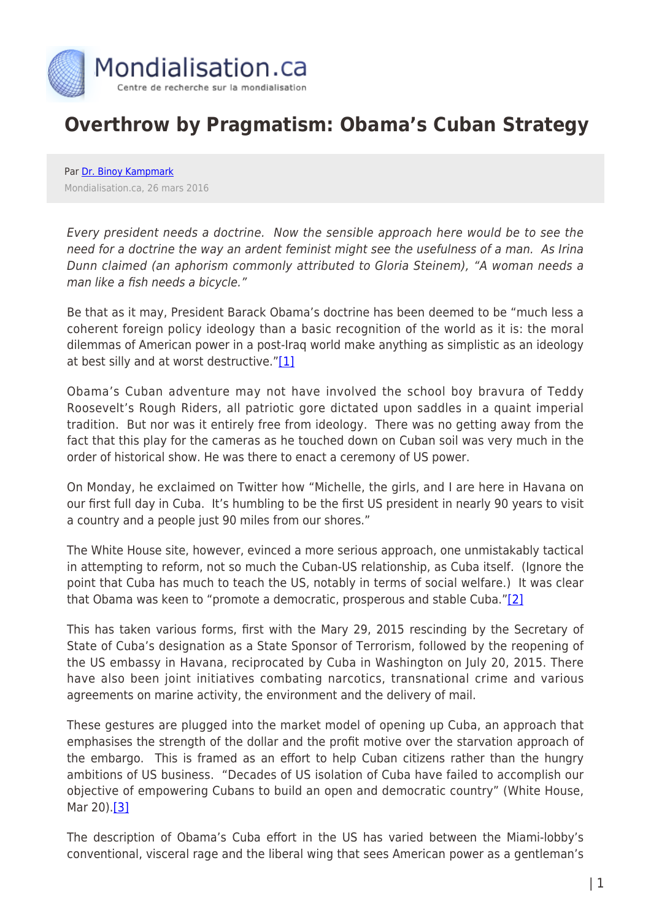

## **Overthrow by Pragmatism: Obama's Cuban Strategy**

Par [Dr. Binoy Kampmark](https://www.mondialisation.ca/author/binoy-kampmark) Mondialisation.ca, 26 mars 2016

Every president needs a doctrine. Now the sensible approach here would be to see the need for a doctrine the way an ardent feminist might see the usefulness of a man. As Irina Dunn claimed (an aphorism commonly attributed to Gloria Steinem), "A woman needs a man like a fish needs a bicycle."

Be that as it may, President Barack Obama's doctrine has been deemed to be "much less a coherent foreign policy ideology than a basic recognition of the world as it is: the moral dilemmas of American power in a post-Iraq world make anything as simplistic as an ideology at best silly and at worst destructive."[\[1\]](https://us-mg5.mail.yahoo.com/neo/launch?.rand=04qlduk5jkcm2#_ftn1)

Obama's Cuban adventure may not have involved the school boy bravura of Teddy Roosevelt's Rough Riders, all patriotic gore dictated upon saddles in a quaint imperial tradition. But nor was it entirely free from ideology. There was no getting away from the fact that this play for the cameras as he touched down on Cuban soil was very much in the order of historical show. He was there to enact a ceremony of US power.

On Monday, he exclaimed on Twitter how "Michelle, the girls, and I are here in Havana on our first full day in Cuba. It's humbling to be the first US president in nearly 90 years to visit a country and a people just 90 miles from our shores."

The White House site, however, evinced a more serious approach, one unmistakably tactical in attempting to reform, not so much the Cuban-US relationship, as Cuba itself. (Ignore the point that Cuba has much to teach the US, notably in terms of social welfare.) It was clear that Obama was keen to "promote a democratic, prosperous and stable Cuba.["\[2\]](https://us-mg5.mail.yahoo.com/neo/launch?.rand=04qlduk5jkcm2#_ftn2)

This has taken various forms, first with the Mary 29, 2015 rescinding by the Secretary of State of Cuba's designation as a State Sponsor of Terrorism, followed by the reopening of the US embassy in Havana, reciprocated by Cuba in Washington on July 20, 2015. There have also been joint initiatives combating narcotics, transnational crime and various agreements on marine activity, the environment and the delivery of mail.

These gestures are plugged into the market model of opening up Cuba, an approach that emphasises the strength of the dollar and the profit motive over the starvation approach of the embargo. This is framed as an effort to help Cuban citizens rather than the hungry ambitions of US business. "Decades of US isolation of Cuba have failed to accomplish our objective of empowering Cubans to build an open and democratic country" (White House, Mar 20).[\[3\]](https://us-mg5.mail.yahoo.com/neo/launch?.rand=04qlduk5jkcm2#_ftn3)

The description of Obama's Cuba effort in the US has varied between the Miami-lobby's conventional, visceral rage and the liberal wing that sees American power as a gentleman's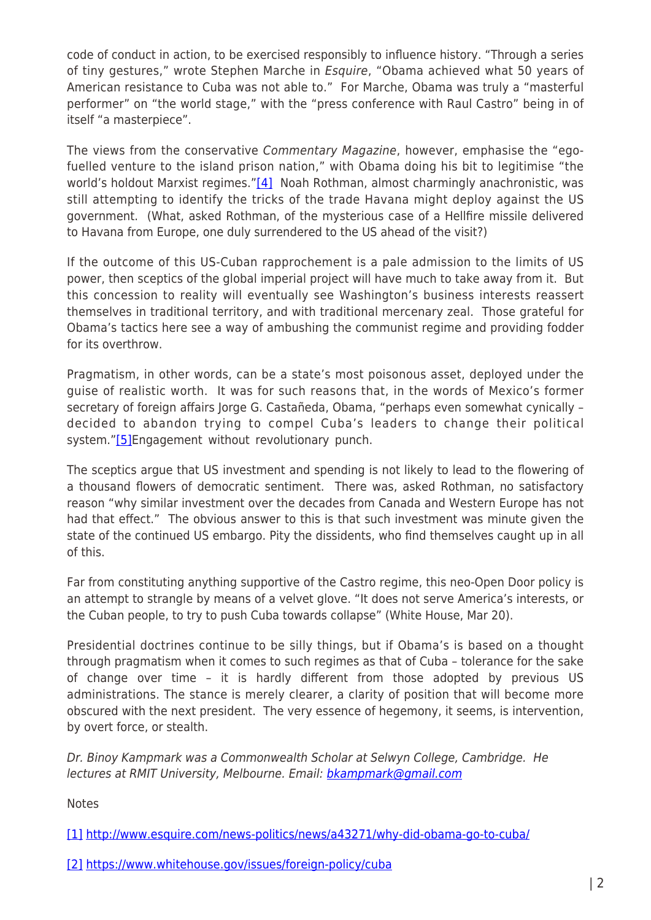code of conduct in action, to be exercised responsibly to influence history. "Through a series of tiny gestures," wrote Stephen Marche in Esquire, "Obama achieved what 50 years of American resistance to Cuba was not able to." For Marche, Obama was truly a "masterful performer" on "the world stage," with the "press conference with Raul Castro" being in of itself "a masterpiece".

The views from the conservative Commentary Magazine, however, emphasise the "egofuelled venture to the island prison nation," with Obama doing his bit to legitimise "the world's holdout Marxist regimes." $[4]$  Noah Rothman, almost charmingly anachronistic, was still attempting to identify the tricks of the trade Havana might deploy against the US government. (What, asked Rothman, of the mysterious case of a Hellfire missile delivered to Havana from Europe, one duly surrendered to the US ahead of the visit?)

If the outcome of this US-Cuban rapprochement is a pale admission to the limits of US power, then sceptics of the global imperial project will have much to take away from it. But this concession to reality will eventually see Washington's business interests reassert themselves in traditional territory, and with traditional mercenary zeal. Those grateful for Obama's tactics here see a way of ambushing the communist regime and providing fodder for its overthrow.

Pragmatism, in other words, can be a state's most poisonous asset, deployed under the guise of realistic worth. It was for such reasons that, in the words of Mexico's former secretary of foreign affairs Jorge G. Castañeda, Obama, "perhaps even somewhat cynically – decided to abandon trying to compel Cuba's leaders to change their political system.["\[5\]E](https://us-mg5.mail.yahoo.com/neo/launch?.rand=04qlduk5jkcm2#_ftn5)ngagement without revolutionary punch.

The sceptics argue that US investment and spending is not likely to lead to the flowering of a thousand flowers of democratic sentiment. There was, asked Rothman, no satisfactory reason "why similar investment over the decades from Canada and Western Europe has not had that effect." The obvious answer to this is that such investment was minute given the state of the continued US embargo. Pity the dissidents, who find themselves caught up in all of this.

Far from constituting anything supportive of the Castro regime, this neo-Open Door policy is an attempt to strangle by means of a velvet glove. "It does not serve America's interests, or the Cuban people, to try to push Cuba towards collapse" (White House, Mar 20).

Presidential doctrines continue to be silly things, but if Obama's is based on a thought through pragmatism when it comes to such regimes as that of Cuba – tolerance for the sake of change over time – it is hardly different from those adopted by previous US administrations. The stance is merely clearer, a clarity of position that will become more obscured with the next president. The very essence of hegemony, it seems, is intervention, by overt force, or stealth.

Dr. Binoy Kampmark was a Commonwealth Scholar at Selwyn College, Cambridge. He lectures at RMIT University, Melbourne. Email: [bkampmark@gmail.com](mailto:bkampmark@gmail.com)

**Notes** 

[\[1\]](https://us-mg5.mail.yahoo.com/neo/launch?.rand=04qlduk5jkcm2#_ftnref1) <http://www.esquire.com/news-politics/news/a43271/why-did-obama-go-to-cuba/>

[\[2\]](https://us-mg5.mail.yahoo.com/neo/launch?.rand=04qlduk5jkcm2#_ftnref2) <https://www.whitehouse.gov/issues/foreign-policy/cuba>